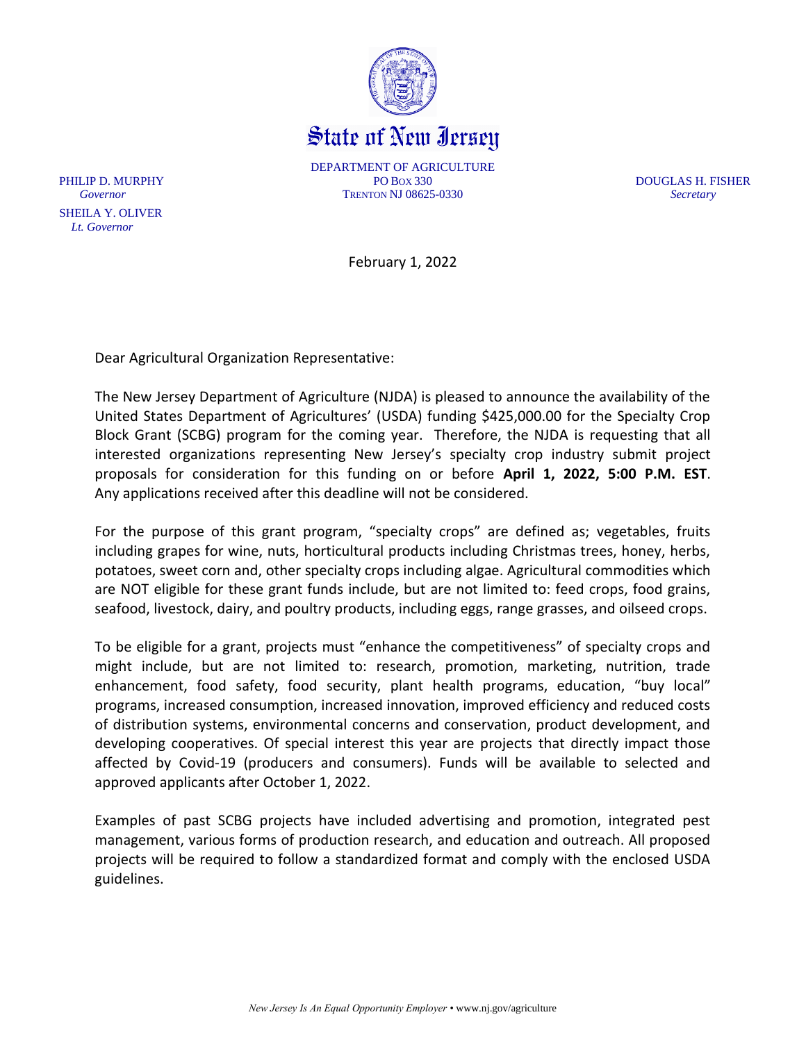

State of New Iersey

DEPARTMENT OF AGRICULTURE PHILIP D. MURPHY **PO BOX 330** PO BOX 330 **PO BOX 330 DOUGLAS H. FISHER** *Governor* TRENTON NJ 08625-0330 *Secretary*

February 1, 2022

Dear Agricultural Organization Representative:

The New Jersey Department of Agriculture (NJDA) is pleased to announce the availability of the United States Department of Agricultures' (USDA) funding \$425,000.00 for the Specialty Crop Block Grant (SCBG) program for the coming year. Therefore, the NJDA is requesting that all interested organizations representing New Jersey's specialty crop industry submit project proposals for consideration for this funding on or before **April 1, 2022, 5:00 P.M. EST**. Any applications received after this deadline will not be considered.

For the purpose of this grant program, "specialty crops" are defined as; vegetables, fruits including grapes for wine, nuts, horticultural products including Christmas trees, honey, herbs, potatoes, sweet corn and, other specialty crops including algae. Agricultural commodities which are NOT eligible for these grant funds include, but are not limited to: feed crops, food grains, seafood, livestock, dairy, and poultry products, including eggs, range grasses, and oilseed crops.

To be eligible for a grant, projects must "enhance the competitiveness" of specialty crops and might include, but are not limited to: research, promotion, marketing, nutrition, trade enhancement, food safety, food security, plant health programs, education, "buy local" programs, increased consumption, increased innovation, improved efficiency and reduced costs of distribution systems, environmental concerns and conservation, product development, and developing cooperatives. Of special interest this year are projects that directly impact those affected by Covid-19 (producers and consumers). Funds will be available to selected and approved applicants after October 1, 2022.

Examples of past SCBG projects have included advertising and promotion, integrated pest management, various forms of production research, and education and outreach. All proposed projects will be required to follow a standardized format and comply with the enclosed USDA guidelines.

 SHEILA Y. OLIVER *Lt. Governor*